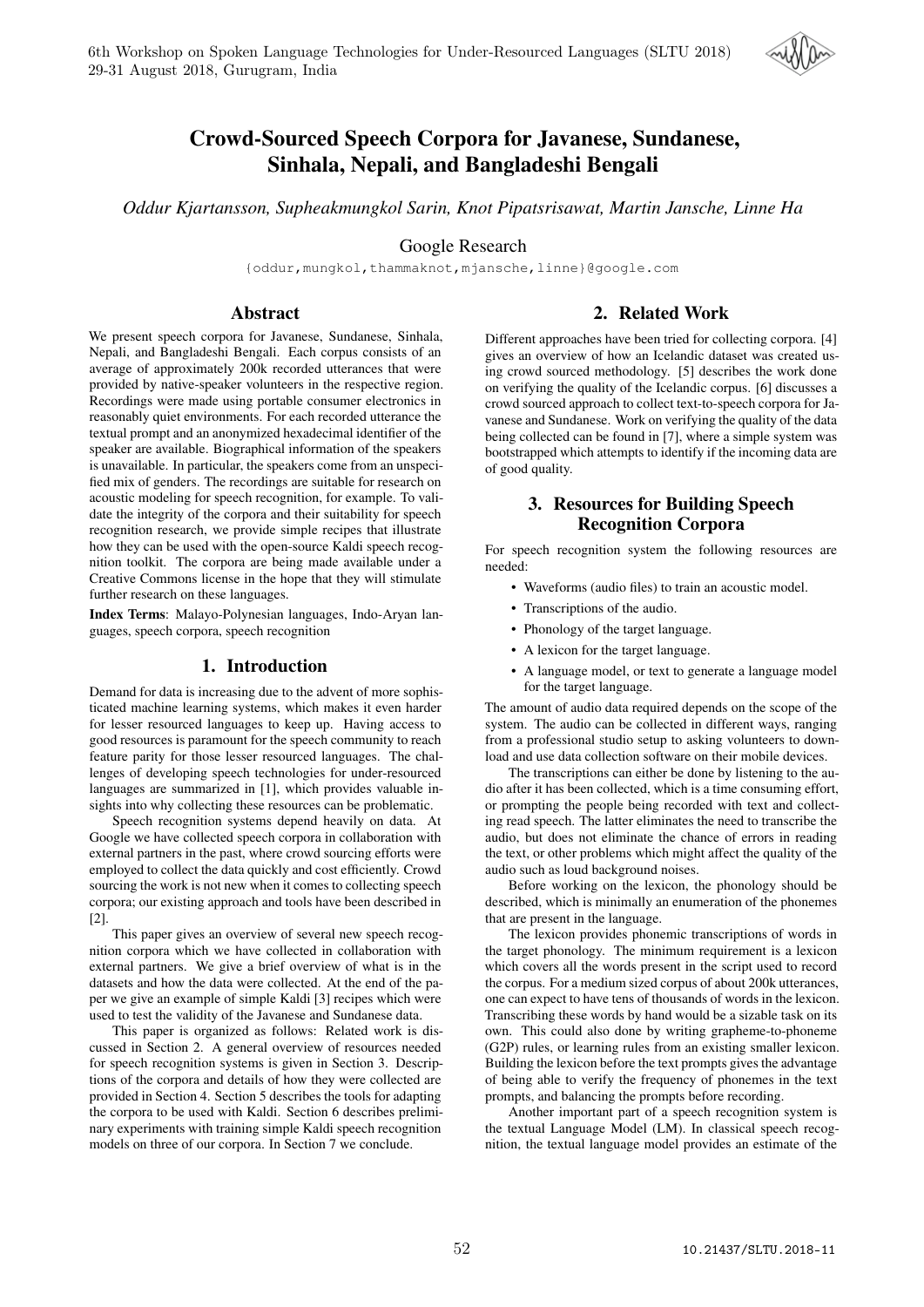

# Crowd-Sourced Speech Corpora for Javanese, Sundanese, Sinhala, Nepali, and Bangladeshi Bengali

*Oddur Kjartansson, Supheakmungkol Sarin, Knot Pipatsrisawat, Martin Jansche, Linne Ha*

Google Research

{oddur,mungkol,thammaknot,mjansche,linne}@google.com

### Abstract

2. Related Work

We present speech corpora for Javanese, Sundanese, Sinhala, Nepali, and Bangladeshi Bengali. Each corpus consists of an average of approximately 200k recorded utterances that were provided by native-speaker volunteers in the respective region. Recordings were made using portable consumer electronics in reasonably quiet environments. For each recorded utterance the textual prompt and an anonymized hexadecimal identifier of the speaker are available. Biographical information of the speakers is unavailable. In particular, the speakers come from an unspecified mix of genders. The recordings are suitable for research on acoustic modeling for speech recognition, for example. To validate the integrity of the corpora and their suitability for speech recognition research, we provide simple recipes that illustrate how they can be used with the open-source Kaldi speech recognition toolkit. The corpora are being made available under a Creative Commons license in the hope that they will stimulate further research on these languages.

Index Terms: Malayo-Polynesian languages, Indo-Aryan languages, speech corpora, speech recognition

#### 1. Introduction

Demand for data is increasing due to the advent of more sophisticated machine learning systems, which makes it even harder for lesser resourced languages to keep up. Having access to good resources is paramount for the speech community to reach feature parity for those lesser resourced languages. The challenges of developing speech technologies for under-resourced languages are summarized in [1], which provides valuable insights into why collecting these resources can be problematic.

Speech recognition systems depend heavily on data. At Google we have collected speech corpora in collaboration with external partners in the past, where crowd sourcing efforts were employed to collect the data quickly and cost efficiently. Crowd sourcing the work is not new when it comes to collecting speech corpora; our existing approach and tools have been described in [2].

This paper gives an overview of several new speech recognition corpora which we have collected in collaboration with external partners. We give a brief overview of what is in the datasets and how the data were collected. At the end of the paper we give an example of simple Kaldi [3] recipes which were used to test the validity of the Javanese and Sundanese data.

This paper is organized as follows: Related work is discussed in Section 2. A general overview of resources needed for speech recognition systems is given in Section 3. Descriptions of the corpora and details of how they were collected are provided in Section 4. Section 5 describes the tools for adapting the corpora to be used with Kaldi. Section 6 describes preliminary experiments with training simple Kaldi speech recognition models on three of our corpora. In Section 7 we conclude.

Different approaches have been tried for collecting corpora. [4] gives an overview of how an Icelandic dataset was created using crowd sourced methodology. [5] describes the work done on verifying the quality of the Icelandic corpus. [6] discusses a crowd sourced approach to collect text-to-speech corpora for Javanese and Sundanese. Work on verifying the quality of the data being collected can be found in [7], where a simple system was bootstrapped which attempts to identify if the incoming data are of good quality.

# 3. Resources for Building Speech Recognition Corpora

For speech recognition system the following resources are needed:

- Waveforms (audio files) to train an acoustic model.
- Transcriptions of the audio.
- Phonology of the target language.
- A lexicon for the target language.
- A language model, or text to generate a language model for the target language.

The amount of audio data required depends on the scope of the system. The audio can be collected in different ways, ranging from a professional studio setup to asking volunteers to download and use data collection software on their mobile devices.

The transcriptions can either be done by listening to the audio after it has been collected, which is a time consuming effort, or prompting the people being recorded with text and collecting read speech. The latter eliminates the need to transcribe the audio, but does not eliminate the chance of errors in reading the text, or other problems which might affect the quality of the audio such as loud background noises.

Before working on the lexicon, the phonology should be described, which is minimally an enumeration of the phonemes that are present in the language.

The lexicon provides phonemic transcriptions of words in the target phonology. The minimum requirement is a lexicon which covers all the words present in the script used to record the corpus. For a medium sized corpus of about 200k utterances, one can expect to have tens of thousands of words in the lexicon. Transcribing these words by hand would be a sizable task on its own. This could also done by writing grapheme-to-phoneme (G2P) rules, or learning rules from an existing smaller lexicon. Building the lexicon before the text prompts gives the advantage of being able to verify the frequency of phonemes in the text prompts, and balancing the prompts before recording.

Another important part of a speech recognition system is the textual Language Model (LM). In classical speech recognition, the textual language model provides an estimate of the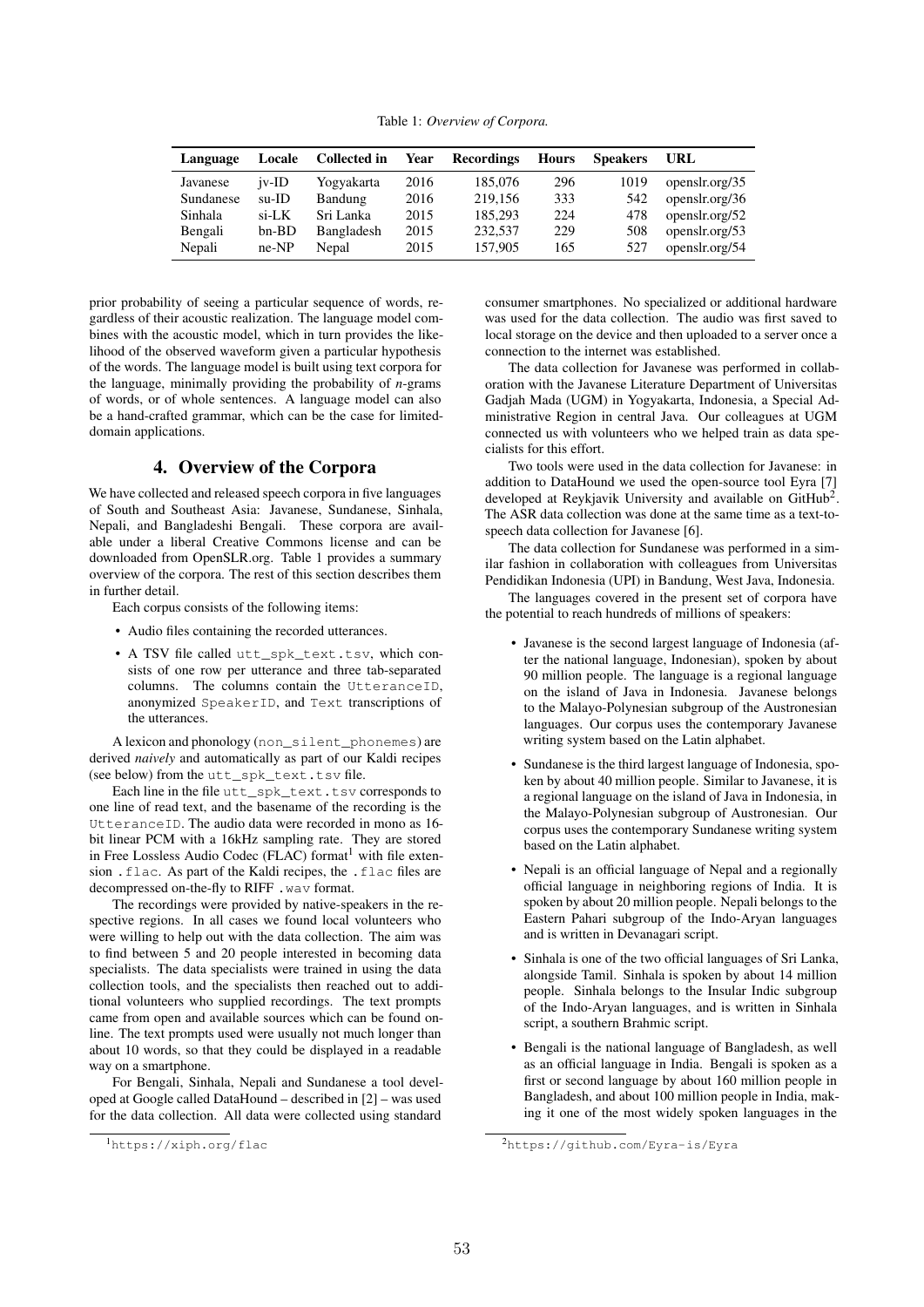Table 1: *Overview of Corpora.*

| Language  | <b>Locale</b> | <b>Collected in</b> | Year | <b>Recordings</b> | <b>Hours</b> | <b>Speakers</b> | URL            |
|-----------|---------------|---------------------|------|-------------------|--------------|-----------------|----------------|
| Javanese  | $iv$ -ID      | Yogyakarta          | 2016 | 185,076           | 296          | 1019            | openslr.org/35 |
| Sundanese | $su$ -ID      | Bandung             | 2016 | 219,156           | 333          | 542             | openslr.org/36 |
| Sinhala   | $si$ -LK      | Sri Lanka           | 2015 | 185,293           | 224          | 478             | openslr.org/52 |
| Bengali   | $bn-BD$       | Bangladesh          | 2015 | 232,537           | 229          | 508             | openslr.org/53 |
| Nepali    | $ne-NP$       | Nepal               | 2015 | 157,905           | 165          | 527             | openslr.org/54 |

prior probability of seeing a particular sequence of words, regardless of their acoustic realization. The language model combines with the acoustic model, which in turn provides the likelihood of the observed waveform given a particular hypothesis of the words. The language model is built using text corpora for the language, minimally providing the probability of *n*-grams of words, or of whole sentences. A language model can also be a hand-crafted grammar, which can be the case for limiteddomain applications.

# 4. Overview of the Corpora

We have collected and released speech corpora in five languages of South and Southeast Asia: Javanese, Sundanese, Sinhala, Nepali, and Bangladeshi Bengali. These corpora are available under a liberal Creative Commons license and can be downloaded from OpenSLR.org. Table 1 provides a summary overview of the corpora. The rest of this section describes them in further detail.

Each corpus consists of the following items:

- Audio files containing the recorded utterances.
- A TSV file called utt\_spk\_text.tsv, which consists of one row per utterance and three tab-separated columns. The columns contain the UtteranceID, anonymized SpeakerID, and Text transcriptions of the utterances.

A lexicon and phonology (non\_silent\_phonemes) are derived *naively* and automatically as part of our Kaldi recipes (see below) from the utt\_spk\_text.tsv file.

Each line in the file utt\_spk\_text.tsv corresponds to one line of read text, and the basename of the recording is the UtteranceID. The audio data were recorded in mono as 16 bit linear PCM with a 16kHz sampling rate. They are stored in Free Lossless Audio Codec (FLAC) format<sup>1</sup> with file extension . flac. As part of the Kaldi recipes, the . flac files are decompressed on-the-fly to RIFF .wav format.

The recordings were provided by native-speakers in the respective regions. In all cases we found local volunteers who were willing to help out with the data collection. The aim was to find between 5 and 20 people interested in becoming data specialists. The data specialists were trained in using the data collection tools, and the specialists then reached out to additional volunteers who supplied recordings. The text prompts came from open and available sources which can be found online. The text prompts used were usually not much longer than about 10 words, so that they could be displayed in a readable way on a smartphone.

For Bengali, Sinhala, Nepali and Sundanese a tool developed at Google called DataHound – described in [2] – was used for the data collection. All data were collected using standard

consumer smartphones. No specialized or additional hardware was used for the data collection. The audio was first saved to local storage on the device and then uploaded to a server once a connection to the internet was established.

The data collection for Javanese was performed in collaboration with the Javanese Literature Department of Universitas Gadjah Mada (UGM) in Yogyakarta, Indonesia, a Special Administrative Region in central Java. Our colleagues at UGM connected us with volunteers who we helped train as data specialists for this effort.

Two tools were used in the data collection for Javanese: in addition to DataHound we used the open-source tool Eyra [7] developed at Reykjavik University and available on GitHub<sup>2</sup>. The ASR data collection was done at the same time as a text-tospeech data collection for Javanese [6].

The data collection for Sundanese was performed in a similar fashion in collaboration with colleagues from Universitas Pendidikan Indonesia (UPI) in Bandung, West Java, Indonesia.

The languages covered in the present set of corpora have the potential to reach hundreds of millions of speakers:

- Javanese is the second largest language of Indonesia (after the national language, Indonesian), spoken by about 90 million people. The language is a regional language on the island of Java in Indonesia. Javanese belongs to the Malayo-Polynesian subgroup of the Austronesian languages. Our corpus uses the contemporary Javanese writing system based on the Latin alphabet.
- Sundanese is the third largest language of Indonesia, spoken by about 40 million people. Similar to Javanese, it is a regional language on the island of Java in Indonesia, in the Malayo-Polynesian subgroup of Austronesian. Our corpus uses the contemporary Sundanese writing system based on the Latin alphabet.
- Nepali is an official language of Nepal and a regionally official language in neighboring regions of India. It is spoken by about 20 million people. Nepali belongs to the Eastern Pahari subgroup of the Indo-Aryan languages and is written in Devanagari script.
- Sinhala is one of the two official languages of Sri Lanka, alongside Tamil. Sinhala is spoken by about 14 million people. Sinhala belongs to the Insular Indic subgroup of the Indo-Aryan languages, and is written in Sinhala script, a southern Brahmic script.
- Bengali is the national language of Bangladesh, as well as an official language in India. Bengali is spoken as a first or second language by about 160 million people in Bangladesh, and about 100 million people in India, making it one of the most widely spoken languages in the

<sup>1</sup>https://xiph.org/flac

<sup>2</sup>https://github.com/Eyra-is/Eyra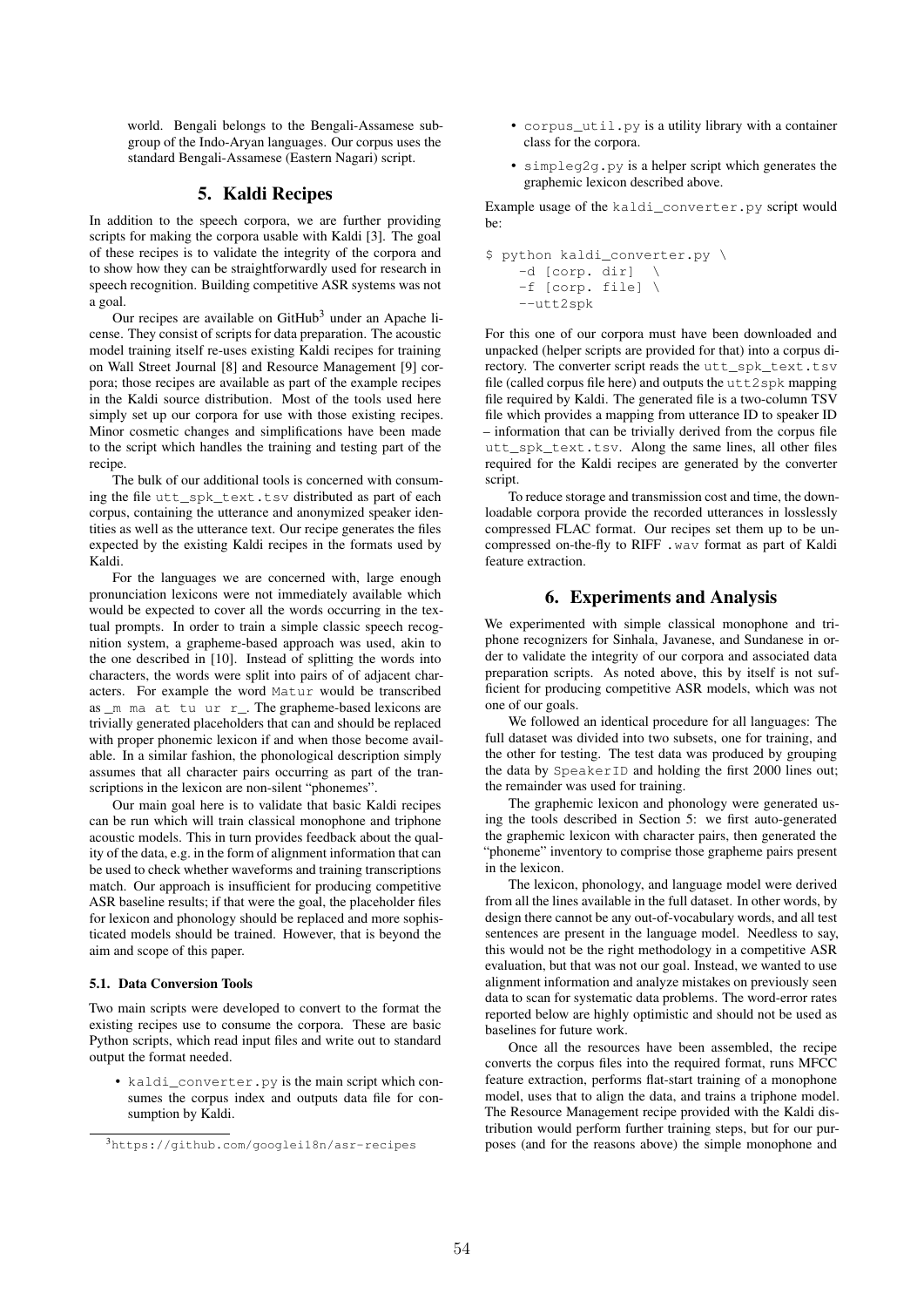world. Bengali belongs to the Bengali-Assamese subgroup of the Indo-Aryan languages. Our corpus uses the standard Bengali-Assamese (Eastern Nagari) script.

# 5. Kaldi Recipes

In addition to the speech corpora, we are further providing scripts for making the corpora usable with Kaldi [3]. The goal of these recipes is to validate the integrity of the corpora and to show how they can be straightforwardly used for research in speech recognition. Building competitive ASR systems was not a goal.

Our recipes are available on  $G$ itHub<sup>3</sup> under an Apache license. They consist of scripts for data preparation. The acoustic model training itself re-uses existing Kaldi recipes for training on Wall Street Journal [8] and Resource Management [9] corpora; those recipes are available as part of the example recipes in the Kaldi source distribution. Most of the tools used here simply set up our corpora for use with those existing recipes. Minor cosmetic changes and simplifications have been made to the script which handles the training and testing part of the recipe.

The bulk of our additional tools is concerned with consuming the file utt\_spk\_text.tsv distributed as part of each corpus, containing the utterance and anonymized speaker identities as well as the utterance text. Our recipe generates the files expected by the existing Kaldi recipes in the formats used by Kaldi.

For the languages we are concerned with, large enough pronunciation lexicons were not immediately available which would be expected to cover all the words occurring in the textual prompts. In order to train a simple classic speech recognition system, a grapheme-based approach was used, akin to the one described in [10]. Instead of splitting the words into characters, the words were split into pairs of of adjacent characters. For example the word Matur would be transcribed as \_m ma at tu ur r\_. The grapheme-based lexicons are trivially generated placeholders that can and should be replaced with proper phonemic lexicon if and when those become available. In a similar fashion, the phonological description simply assumes that all character pairs occurring as part of the transcriptions in the lexicon are non-silent "phonemes".

Our main goal here is to validate that basic Kaldi recipes can be run which will train classical monophone and triphone acoustic models. This in turn provides feedback about the quality of the data, e.g. in the form of alignment information that can be used to check whether waveforms and training transcriptions match. Our approach is insufficient for producing competitive ASR baseline results; if that were the goal, the placeholder files for lexicon and phonology should be replaced and more sophisticated models should be trained. However, that is beyond the aim and scope of this paper.

#### 5.1. Data Conversion Tools

Two main scripts were developed to convert to the format the existing recipes use to consume the corpora. These are basic Python scripts, which read input files and write out to standard output the format needed.

• kaldi\_converter.py is the main script which consumes the corpus index and outputs data file for consumption by Kaldi.

- corpus\_util.py is a utility library with a container class for the corpora.
- simpleg2g.py is a helper script which generates the graphemic lexicon described above.

Example usage of the kaldi\_converter.py script would be:

```
$ python kaldi_converter.py \
-d [corp. dir] \setminus-f [corp. file] \
--utt2spk
```
For this one of our corpora must have been downloaded and unpacked (helper scripts are provided for that) into a corpus directory. The converter script reads the utt spk\_text.tsv file (called corpus file here) and outputs the utt2spk mapping file required by Kaldi. The generated file is a two-column TSV file which provides a mapping from utterance ID to speaker ID – information that can be trivially derived from the corpus file utt\_spk\_text.tsv. Along the same lines, all other files required for the Kaldi recipes are generated by the converter script.

To reduce storage and transmission cost and time, the downloadable corpora provide the recorded utterances in losslessly compressed FLAC format. Our recipes set them up to be uncompressed on-the-fly to RIFF .wav format as part of Kaldi feature extraction.

### 6. Experiments and Analysis

We experimented with simple classical monophone and triphone recognizers for Sinhala, Javanese, and Sundanese in order to validate the integrity of our corpora and associated data preparation scripts. As noted above, this by itself is not sufficient for producing competitive ASR models, which was not one of our goals.

We followed an identical procedure for all languages: The full dataset was divided into two subsets, one for training, and the other for testing. The test data was produced by grouping the data by SpeakerID and holding the first 2000 lines out; the remainder was used for training.

The graphemic lexicon and phonology were generated using the tools described in Section 5: we first auto-generated the graphemic lexicon with character pairs, then generated the "phoneme" inventory to comprise those grapheme pairs present in the lexicon.

The lexicon, phonology, and language model were derived from all the lines available in the full dataset. In other words, by design there cannot be any out-of-vocabulary words, and all test sentences are present in the language model. Needless to say, this would not be the right methodology in a competitive ASR evaluation, but that was not our goal. Instead, we wanted to use alignment information and analyze mistakes on previously seen data to scan for systematic data problems. The word-error rates reported below are highly optimistic and should not be used as baselines for future work.

Once all the resources have been assembled, the recipe converts the corpus files into the required format, runs MFCC feature extraction, performs flat-start training of a monophone model, uses that to align the data, and trains a triphone model. The Resource Management recipe provided with the Kaldi distribution would perform further training steps, but for our purposes (and for the reasons above) the simple monophone and

<sup>3</sup>https://github.com/googlei18n/asr-recipes